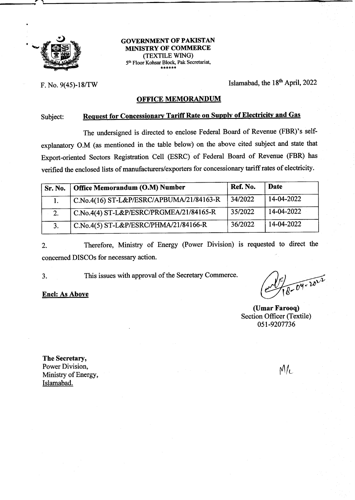

## **GOVERNMENT OF PAKISTAN** MIMSTRY OF COMMERCE (TEXTILE WING) 5th Floor Kohsar Block, Pak Secretariat,

F. No. 9(45)-18/TW Islamabad, the  $18<sup>th</sup>$  April, 2022

### OFFICE MEMORANDUM

# Subject: Request for Concessionary Tariff Rate on Supply of Electricity and Gas

The undersigned is directed to enclose Federal Board of Revenue (FBR)'s selfexplanatory O.M (as mentioned in the table below) on the above cited subject and state that Export-oriented Sectors Registration Cell (ESRC) of Federal Board of Revenue (FBR) has verified the enclosed lists of manufacturers/exporters for concessionary tariffrates of electricity.

| Sr. No. | Office Memorandum (O.M) Number           | Ref. No. | <b>Date</b> |
|---------|------------------------------------------|----------|-------------|
|         | C.No.4(16) ST-L&P/ESRC/APBUMA/21/84163-R | 34/2022  | 14-04-2022  |
| 2.      | C.No.4(4) ST-L&P/ESRC/PRGMEA/21/84165-R  | 35/2022  | 14-04-2022  |
|         | C.No.4(5) ST-L&P/ESRC/PHMA/21/84166-R    | 36/2022  | 14-04-2022  |

2. Therefore, Ministry of Energy (Power Division) is requested to direct the concerned DISCOs for necessary action.

3. This issues with approval of the Secretary Commerce.

Encl: As Above

 $8 - 04 - 10^{1/2}$ 

(Umar Farooq) Section Officer (Textile) 051-9207736

The Secretary, Power Division, Ministry of Energy, Islamabad.

 $M_{\rm L}$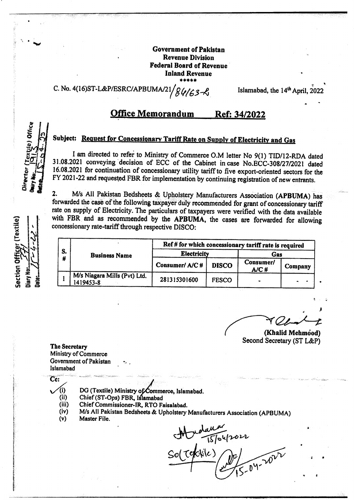**Government of Pakistan Revenue Division Federal Board of Revenue Inland Revenue** 

C. No. 4(16)ST-L&P/ESRC/APBUMA/21/ $84/63 - 8$ 

Islamabad, the 14<sup>th</sup> April, 2022

#### **Office Memorandum** Ref: 34/2022

# Subject: Request for Concessionary Tariff Rate on Supply of Electricity and Gas

I am directed to refer to Ministry of Commerce O.M letter No 9(1) TID/12-RDA dated 31.08.2021 conveying decision of ECC of the Cabinet in case No.ECC-308/27/2021 dated 16.08.2021 for continuation of concessionary utility tariff to five export-oriented sectors for the FY 2021-22 and requested FBR for implementation by continuing registration of new entrants.

 $\overline{2}$ . M/s All Pakistan Bedsheets & Upholstery Manufacturers Association (APBUMA) has forwarded the case of the following taxpayer duly recommended for grant of concessionary tariff rate on supply of Electricity. The particulars of taxpayers were verified with the data available with FBR and as recommended by the APBUMA, the cases are forwarded for allowing concessionary rate-tariff through respective DISCO:

| S. | <b>Business Name</b>                      | Ref # for which concessionary tariff rate is required |              |                      |         |  |
|----|-------------------------------------------|-------------------------------------------------------|--------------|----------------------|---------|--|
|    |                                           | <b>Electricity</b>                                    |              | Gas                  |         |  |
|    |                                           | Consumer/A/C#                                         | <b>DISCO</b> | Consumer/<br>$A/C$ # | Company |  |
|    | M/s Niagara Mills (Pvt) Ltd.<br>1419453-8 | 281315301600                                          | <b>FESCO</b> |                      |         |  |

(Khalid Mehmood) Second Secretary (ST L&P)

The Secretary **Ministry of Commerce** Government of Pakistan Islamabad

Cc:

- DG (Textile) Ministry of Commerce, Islamabad. (i)
- $(ii)$ Chief (ST-Ops) FBR, Islamabad
- $(iii)$ Chief Commissioner-IR, RTO Faisalabad.
- M/s All Pakistan Bedsheets & Upholstery Manufacturers Association (APBUMA)  $(iv)$
- $(v)$ Master File.

ran<br>T5To4/2022 Sol Tektile

ection Officer (Textile)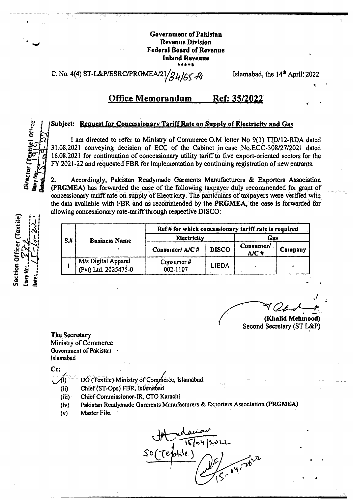**Government of Pakistan Revenue Division Federal Board of Revenue Inland Revenue** 

C. No. 4(4) ST-L&P/ESRC/PRGMEA/21 B4165 Ri Islamabad, the 14<sup>th</sup> April, 2022

#### **Office Memorandum** Ref: 35/2022

### Subject: Request for Concessionary Tariff Rate on Supply of Electricity and Gas

I am directed to refer to Ministry of Commerce O.M letter No 9(1) TID/12-RDA dated 31.08.2021 conveying decision of ECC of the Cabinet in case No.ECC-308/27/2021 dated 16.08.2021 for continuation of concessionary utility tariff to five export-oriented sectors for the FY 2021-22 and requested FBR for implementation by continuing registration of new entrants.

Accordingly, Pakistan Readymade Garments Manufacturers & Exporters Association 2. (PRGMEA) has forwarded the case of the following taxpayer duly recommended for grant of concessionary tariff rate on supply of Electricity. The particulars of taxpayers were verified with the data available with FBR and as recommended by the PRGMEA, the case is forwarded for allowing concessionary rate-tariff through respective DISCO:

Section Officer (Textile) Diary No Jate

Director (Textile) Office

| $S+$ | <b>Business Name</b>                        | Ref # for which concessionary tariff rate is required |              |                      |         |
|------|---------------------------------------------|-------------------------------------------------------|--------------|----------------------|---------|
|      |                                             | <b>Electricity</b>                                    |              | Gas                  |         |
|      |                                             | Consumer/A/C#                                         | <b>DISCO</b> | Consumer/<br>$A/C$ # | Company |
|      | M/s Digital Apparel<br>(Pvt) Ltd. 2025475-0 | Consumer $#$<br>002-1107                              | <b>LIEDA</b> |                      |         |

(Khalid Mehmood) Second Secretary (ST L&P)

The Secretary Ministry of Commerce Government of Pakistan Islamabad

Ce:

- DG (Textile) Ministry of Commerce, Islamabad. (i)
- Chief (ST-Ops) FBR, Islamabad  $(ii)$
- Chief Commissioner-IR, CTO Karachi  $(iii)$
- Pakistan Readymade Garments Manufacturers & Exporters Association (PRGMEA)  $(iv)$
- Master File.  $(v)$

Telotile